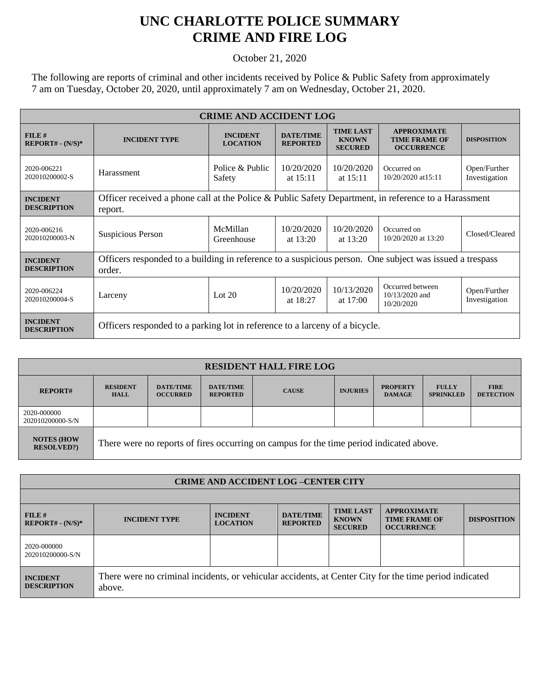## **UNC CHARLOTTE POLICE SUMMARY CRIME AND FIRE LOG**

October 21, 2020

The following are reports of criminal and other incidents received by Police & Public Safety from approximately 7 am on Tuesday, October 20, 2020, until approximately 7 am on Wednesday, October 21, 2020.

| <b>CRIME AND ACCIDENT LOG</b>         |                                                                                                                   |                                    |                                     |                                                    |                                                                 |                               |  |
|---------------------------------------|-------------------------------------------------------------------------------------------------------------------|------------------------------------|-------------------------------------|----------------------------------------------------|-----------------------------------------------------------------|-------------------------------|--|
| FILE#<br>$REPORT# - (N/S)*$           | <b>INCIDENT TYPE</b>                                                                                              | <b>INCIDENT</b><br><b>LOCATION</b> | <b>DATE/TIME</b><br><b>REPORTED</b> | <b>TIME LAST</b><br><b>KNOWN</b><br><b>SECURED</b> | <b>APPROXIMATE</b><br><b>TIME FRAME OF</b><br><b>OCCURRENCE</b> | <b>DISPOSITION</b>            |  |
| 2020-006221<br>202010200002-S         | Harassment                                                                                                        | Police & Public<br>Safety          | 10/20/2020<br>at $15:11$            | 10/20/2020<br>at $15:11$                           | Occurred on<br>10/20/2020 at 15:11                              | Open/Further<br>Investigation |  |
| <b>INCIDENT</b><br><b>DESCRIPTION</b> | Officer received a phone call at the Police & Public Safety Department, in reference to a Harassment<br>report.   |                                    |                                     |                                                    |                                                                 |                               |  |
| 2020-006216<br>202010200003-N         | Suspicious Person                                                                                                 | McMillan<br>Greenhouse             | 10/20/2020<br>at $13:20$            | 10/20/2020<br>at $13:20$                           | Occurred on<br>10/20/2020 at 13:20                              | Closed/Cleared                |  |
| <b>INCIDENT</b><br><b>DESCRIPTION</b> | Officers responded to a building in reference to a suspicious person. One subject was issued a trespass<br>order. |                                    |                                     |                                                    |                                                                 |                               |  |
| 2020-006224<br>202010200004-S         | Larceny                                                                                                           | Lot $20$                           | 10/20/2020<br>at $18:27$            | 10/13/2020<br>at $17:00$                           | Occurred between<br>10/13/2020 and<br>10/20/2020                | Open/Further<br>Investigation |  |
| <b>INCIDENT</b><br><b>DESCRIPTION</b> | Officers responded to a parking lot in reference to a larceny of a bicycle.                                       |                                    |                                     |                                                    |                                                                 |                               |  |

| <b>RESIDENT HALL FIRE LOG</b>         |                                                                                         |                                     |                                     |              |                 |                                  |                                  |                                 |
|---------------------------------------|-----------------------------------------------------------------------------------------|-------------------------------------|-------------------------------------|--------------|-----------------|----------------------------------|----------------------------------|---------------------------------|
| <b>REPORT#</b>                        | <b>RESIDENT</b><br><b>HALL</b>                                                          | <b>DATE/TIME</b><br><b>OCCURRED</b> | <b>DATE/TIME</b><br><b>REPORTED</b> | <b>CAUSE</b> | <b>INJURIES</b> | <b>PROPERTY</b><br><b>DAMAGE</b> | <b>FULLY</b><br><b>SPRINKLED</b> | <b>FIRE</b><br><b>DETECTION</b> |
| 2020-000000<br>202010200000-S/N       |                                                                                         |                                     |                                     |              |                 |                                  |                                  |                                 |
| <b>NOTES (HOW</b><br><b>RESOLVED?</b> | There were no reports of fires occurring on campus for the time period indicated above. |                                     |                                     |              |                 |                                  |                                  |                                 |

| <b>CRIME AND ACCIDENT LOG-CENTER CITY</b> |                                                                                                                  |                                    |                                     |                                                    |                                                                 |                    |  |
|-------------------------------------------|------------------------------------------------------------------------------------------------------------------|------------------------------------|-------------------------------------|----------------------------------------------------|-----------------------------------------------------------------|--------------------|--|
|                                           |                                                                                                                  |                                    |                                     |                                                    |                                                                 |                    |  |
| FILE#<br>$REPORT# - (N/S)*$               | <b>INCIDENT TYPE</b>                                                                                             | <b>INCIDENT</b><br><b>LOCATION</b> | <b>DATE/TIME</b><br><b>REPORTED</b> | <b>TIME LAST</b><br><b>KNOWN</b><br><b>SECURED</b> | <b>APPROXIMATE</b><br><b>TIME FRAME OF</b><br><b>OCCURRENCE</b> | <b>DISPOSITION</b> |  |
| 2020-000000<br>202010200000-S/N           |                                                                                                                  |                                    |                                     |                                                    |                                                                 |                    |  |
| <b>INCIDENT</b><br><b>DESCRIPTION</b>     | There were no criminal incidents, or vehicular accidents, at Center City for the time period indicated<br>above. |                                    |                                     |                                                    |                                                                 |                    |  |